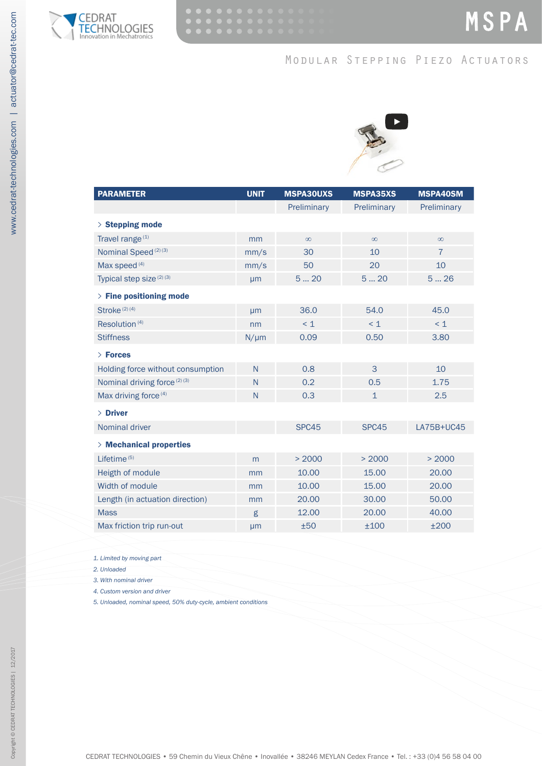

## Modular Stepping Piezo Actuators



| <b>PARAMETER</b>                        | <b>UNIT</b> | <b>MSPA30UXS</b> | <b>MSPA35XS</b> | <b>MSPA40SM</b> |  |
|-----------------------------------------|-------------|------------------|-----------------|-----------------|--|
|                                         |             | Preliminary      | Preliminary     | Preliminary     |  |
|                                         |             |                  |                 |                 |  |
| $>$ Stepping mode                       |             |                  |                 |                 |  |
| Travel range <sup>(1)</sup>             | mm          | $\infty$         | $\infty$        | $\infty$        |  |
| Nominal Speed <sup>(2)(3)</sup>         | mm/s        | 30               | 10              | $\overline{7}$  |  |
| Max speed <sup>(4)</sup>                | mm/s        | 50               | 20              | 10              |  |
| Typical step size (2) (3)               | µm          | 520              | 520             | 526             |  |
| $>$ Fine positioning mode               |             |                  |                 |                 |  |
| Stroke $(2)$ $(4)$                      | µm          | 36.0             | 54.0            | 45.0            |  |
| Resolution <sup>(4)</sup>               | nm          | $\leq 1$         | $\leq 1$        | $\leq 1$        |  |
| <b>Stiffness</b>                        | $N/\mu m$   | 0.09             | 0.50            | 3.80            |  |
| > Forces                                |             |                  |                 |                 |  |
| Holding force without consumption       | N           | 0.8              | 3               | 10              |  |
| Nominal driving force <sup>(2)(3)</sup> | N           | 0.2              | 0.5             | 1.75            |  |
| Max driving force <sup>(4)</sup>        | N           | 0.3              | $\mathbf{1}$    | 2.5             |  |
| $>$ Driver                              |             |                  |                 |                 |  |
| <b>Nominal driver</b>                   |             | SPC45            | SPC45           | LA75B+UC45      |  |
| > Mechanical properties                 |             |                  |                 |                 |  |
| Lifetime <sup>(5)</sup>                 | m           | > 2000           | > 2000          | > 2000          |  |
| Heigth of module                        | mm          | 10.00            | 15.00           | 20.00           |  |
| Width of module                         | mm          | 10.00            | 15.00           | 20.00           |  |
| Length (in actuation direction)         | mm          | 20.00            | 30.00           | 50.00           |  |
| <b>Mass</b>                             | g           | 12.00            | 20.00           | 40.00           |  |
| Max friction trip run-out               | µm          | ±50              | ±100            | ±200            |  |

<span id="page-0-0"></span>*1. Limited by moving part*

<span id="page-0-1"></span>*2. Unloaded*

<span id="page-0-2"></span>*3. With nominal driver*

<span id="page-0-3"></span>*4. Custom version and driver*

<span id="page-0-4"></span>*5. Unloaded, nominal speed, 50% duty-cycle, ambient conditions*